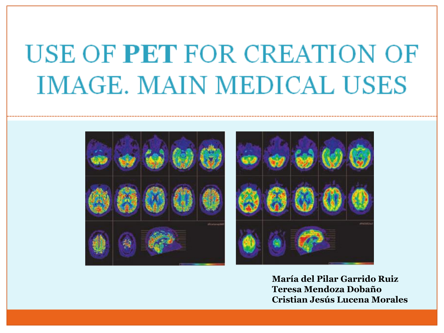# **USE OF PET FOR CREATION OF IMAGE. MAIN MEDICAL USES**





**María del Pilar Garrido Ruiz Teresa Mendoza Dobaño Cristian Jesús Lucena Morales**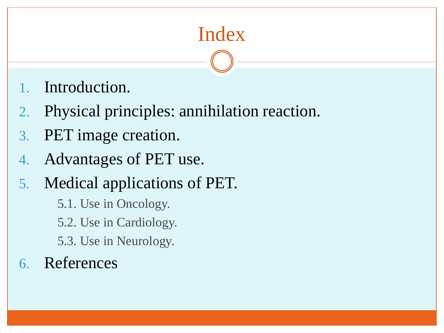# Index

- Introduction.
- 2. Physical principles: annihilation reaction.
- 3. PET image creation.
- 4. Advantages of PET use.
- 5. Medical applications of PET.
	- 5.1. Use in Oncology.
	- 5.2. Use in Cardiology.
	- 5.3. Use in Neurology.
- 6. References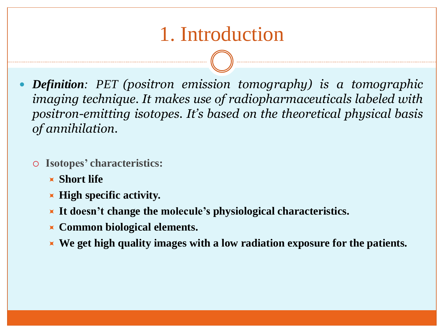# 1. Introduction

 *Definition: PET (positron emission tomography) is a tomographic imaging technique. It makes use of radiopharmaceuticals labeled with positron-emitting isotopes. It's based on the theoretical physical basis of annihilation.*

- **Isotopes' characteristics:**
	- **Short life**
	- **High specific activity.**
	- **It doesn't change the molecule's physiological characteristics.**
	- **Common biological elements.**
	- **We get high quality images with a low radiation exposure for the patients.**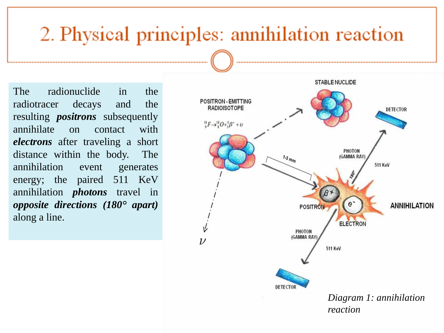# 2. Physical principles: annihilation reaction

The radionuclide in the radiotracer decays and the resulting *positrons* subsequently annihilate on contact with *electrons* after traveling a short distance within the body. The annihilation event generates energy; the paired 511 KeV annihilation *photons* travel in *opposite directions (180° apart)* along a line.

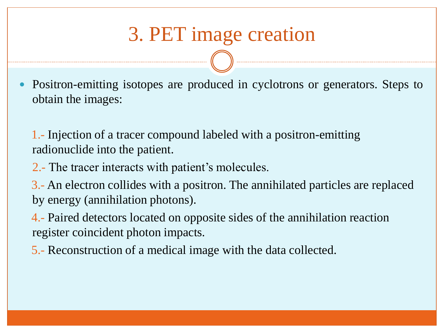# 3. PET image creation

 Positron-emitting isotopes are produced in cyclotrons or generators. Steps to obtain the images:

 1.- Injection of a tracer compound labeled with a positron-emitting radionuclide into the patient.

2.- The tracer interacts with patient's molecules.

 3.- An electron collides with a positron. The annihilated particles are replaced by energy (annihilation photons).

 4.- Paired detectors located on opposite sides of the annihilation reaction register coincident photon impacts.

5.- Reconstruction of a medical image with the data collected.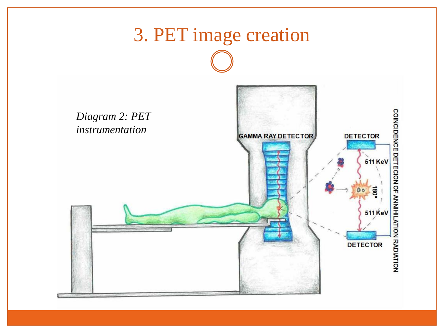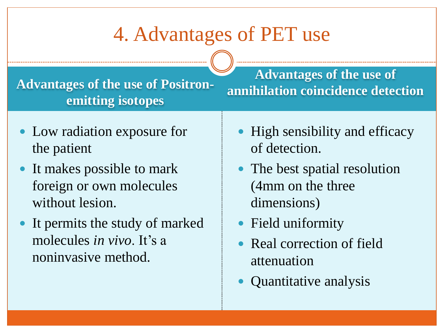# 4. Advantages of PET use

**Advantages of the use of Positronemitting isotopes**

- Low radiation exposure for the patient
- It makes possible to mark foreign or own molecules without lesion.
- It permits the study of marked molecules *in vivo*. It's a noninvasive method.

**Advantages of the use of annihilation coincidence detection**

- High sensibility and efficacy of detection.
- The best spatial resolution (4mm on the three dimensions)
- Field uniformity
- Real correction of field attenuation
- Quantitative analysis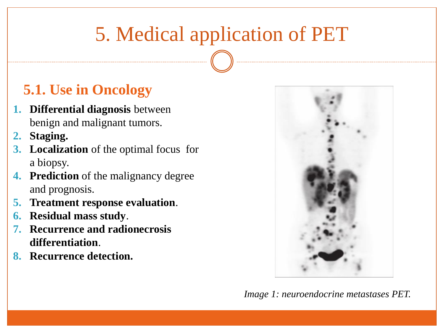# 5. Medical application of PET

#### **5.1. Use in Oncology**

- **1. Differential diagnosis** between benign and malignant tumors.
- **2. Staging.**
- **3. Localization** of the optimal focus for a biopsy.
- **4. Prediction** of the malignancy degree and prognosis.
- **5. Treatment response evaluation**.
- **6. Residual mass study**.
- **7. Recurrence and radionecrosis differentiation**.
- **8. Recurrence detection.**



*Image 1: neuroendocrine metastases PET.*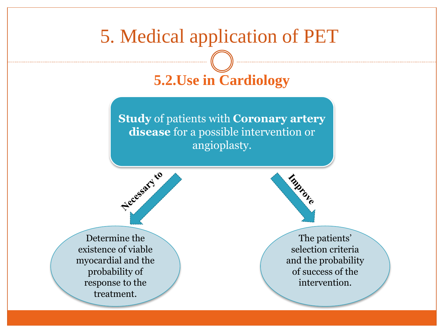### 5. Medical application of PET

### **5.2.Use in Cardiology**

**Study** of patients with **Coronary artery disease** for a possible intervention or angioplasty.





The patients' selection criteria and the probability of success of the intervention.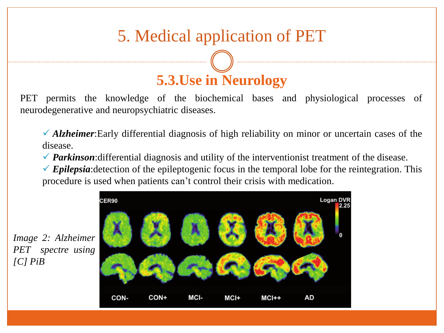#### 5. Medical application of PET

# **5.3.Use in Neurology**

PET permits the knowledge of the biochemical bases and physiological processes of neurodegenerative and neuropsychiatric diseases.

 *Alzheimer*:Early differential diagnosis of high reliability on minor or uncertain cases of the disease.

*◆ Parkinson*: differential diagnosis and utility of the interventionist treatment of the disease.

 $\checkmark$  Epilepsia: detection of the epileptogenic focus in the temporal lobe for the reintegration. This procedure is used when patients can't control their crisis with medication.

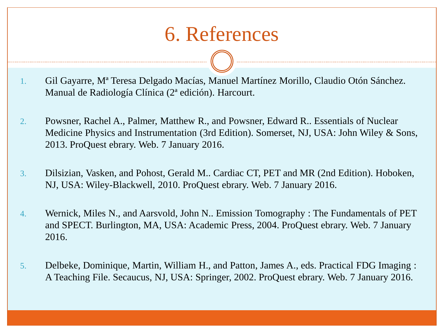### 6. References

- 1. Gil Gayarre, Mª Teresa Delgado Macías, Manuel Martínez Morillo, Claudio Otón Sánchez. Manual de Radiología Clínica (2ª edición). Harcourt.
- 2. Powsner, Rachel A., Palmer, Matthew R., and Powsner, Edward R.. Essentials of Nuclear Medicine Physics and Instrumentation (3rd Edition). Somerset, NJ, USA: John Wiley & Sons, 2013. ProQuest ebrary. Web. 7 January 2016.
- 3. Dilsizian, Vasken, and Pohost, Gerald M.. Cardiac CT, PET and MR (2nd Edition). Hoboken, NJ, USA: Wiley-Blackwell, 2010. ProQuest ebrary. Web. 7 January 2016.
- 4. Wernick, Miles N., and Aarsvold, John N.. Emission Tomography : The Fundamentals of PET and SPECT. Burlington, MA, USA: Academic Press, 2004. ProQuest ebrary. Web. 7 January 2016.
- 5. Delbeke, Dominique, Martin, William H., and Patton, James A., eds. Practical FDG Imaging : A Teaching File. Secaucus, NJ, USA: Springer, 2002. ProQuest ebrary. Web. 7 January 2016.